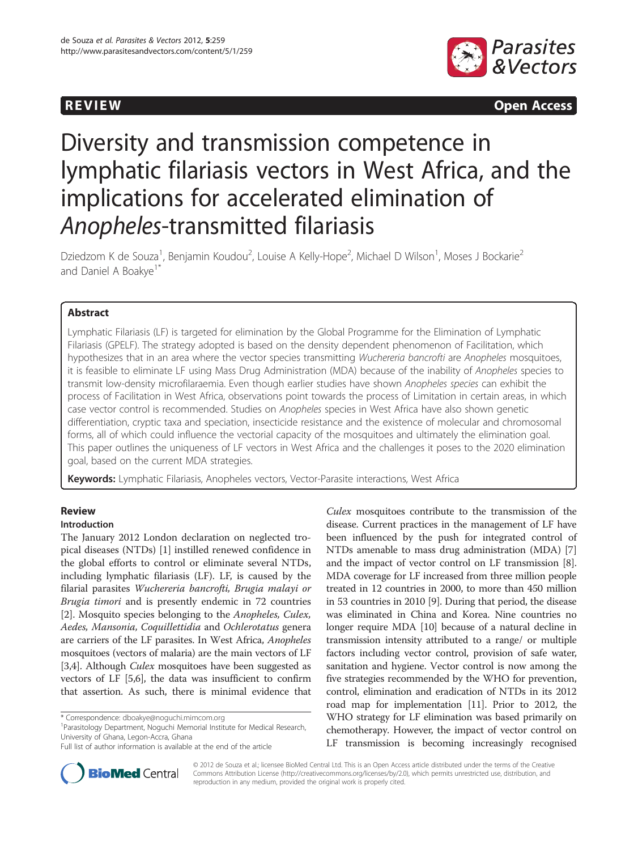

**REVIEW REVIEW CONSTRUCTER** 

# Diversity and transmission competence in lymphatic filariasis vectors in West Africa, and the implications for accelerated elimination of Anopheles-transmitted filariasis

Dziedzom K de Souza<sup>1</sup>, Benjamin Koudou<sup>2</sup>, Louise A Kelly-Hope<sup>2</sup>, Michael D Wilson<sup>1</sup>, Moses J Bockarie<sup>2</sup> and Daniel A Boakye<sup>1\*</sup>

# Abstract

Lymphatic Filariasis (LF) is targeted for elimination by the Global Programme for the Elimination of Lymphatic Filariasis (GPELF). The strategy adopted is based on the density dependent phenomenon of Facilitation, which hypothesizes that in an area where the vector species transmitting Wuchereria bancrofti are Anopheles mosquitoes, it is feasible to eliminate LF using Mass Drug Administration (MDA) because of the inability of Anopheles species to transmit low-density microfilaraemia. Even though earlier studies have shown Anopheles species can exhibit the process of Facilitation in West Africa, observations point towards the process of Limitation in certain areas, in which case vector control is recommended. Studies on Anopheles species in West Africa have also shown genetic differentiation, cryptic taxa and speciation, insecticide resistance and the existence of molecular and chromosomal forms, all of which could influence the vectorial capacity of the mosquitoes and ultimately the elimination goal. This paper outlines the uniqueness of LF vectors in West Africa and the challenges it poses to the 2020 elimination goal, based on the current MDA strategies.

Keywords: Lymphatic Filariasis, Anopheles vectors, Vector-Parasite interactions, West Africa

# Review

# Introduction

The January 2012 London declaration on neglected tropical diseases (NTDs) [[1\]](#page-4-0) instilled renewed confidence in the global efforts to control or eliminate several NTDs, including lymphatic filariasis (LF). LF, is caused by the filarial parasites Wuchereria bancrofti, Brugia malayi or Brugia timori and is presently endemic in 72 countries [[2\]](#page-4-0). Mosquito species belonging to the Anopheles, Culex, Aedes, Mansonia, Coquillettidia and Ochlerotatus genera are carriers of the LF parasites. In West Africa, Anopheles mosquitoes (vectors of malaria) are the main vectors of LF [[3,4](#page-4-0)]. Although *Culex* mosquitoes have been suggested as vectors of LF [[5,6](#page-4-0)], the data was insufficient to confirm that assertion. As such, there is minimal evidence that

Parasitology Department, Noguchi Memorial Institute for Medical Research, University of Ghana, Legon-Accra, Ghana





© 2012 de Souza et al.; licensee BioMed Central Ltd. This is an Open Access article distributed under the terms of the Creative Commons Attribution License [\(http://creativecommons.org/licenses/by/2.0\)](http://creativecommons.org/licenses/by/2.0), which permits unrestricted use, distribution, and reproduction in any medium, provided the original work is properly cited.

<sup>\*</sup> Correspondence: [dboakye@noguchi.mimcom.org](mailto:dboakye@noguchi.mimcom.org) <sup>1</sup>

Full list of author information is available at the end of the article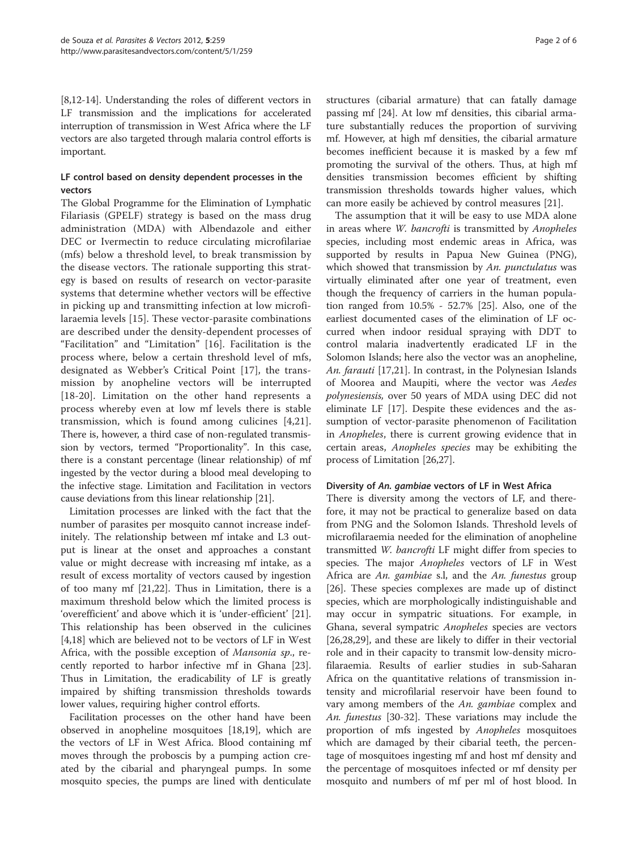[[8,12](#page-4-0)-[14](#page-4-0)]. Understanding the roles of different vectors in LF transmission and the implications for accelerated interruption of transmission in West Africa where the LF vectors are also targeted through malaria control efforts is important.

# LF control based on density dependent processes in the vectors

The Global Programme for the Elimination of Lymphatic Filariasis (GPELF) strategy is based on the mass drug administration (MDA) with Albendazole and either DEC or Ivermectin to reduce circulating microfilariae (mfs) below a threshold level, to break transmission by the disease vectors. The rationale supporting this strategy is based on results of research on vector-parasite systems that determine whether vectors will be effective in picking up and transmitting infection at low microfilaraemia levels [[15\]](#page-4-0). These vector-parasite combinations are described under the density-dependent processes of "Facilitation" and "Limitation" [[16\]](#page-4-0). Facilitation is the process where, below a certain threshold level of mfs, designated as Webber's Critical Point [[17\]](#page-4-0), the transmission by anopheline vectors will be interrupted [[18-20\]](#page-4-0). Limitation on the other hand represents a process whereby even at low mf levels there is stable transmission, which is found among culicines [[4,21](#page-4-0)]. There is, however, a third case of non-regulated transmission by vectors, termed "Proportionality". In this case, there is a constant percentage (linear relationship) of mf ingested by the vector during a blood meal developing to the infective stage. Limitation and Facilitation in vectors cause deviations from this linear relationship [\[21\]](#page-4-0).

Limitation processes are linked with the fact that the number of parasites per mosquito cannot increase indefinitely. The relationship between mf intake and L3 output is linear at the onset and approaches a constant value or might decrease with increasing mf intake, as a result of excess mortality of vectors caused by ingestion of too many mf [\[21,22\]](#page-4-0). Thus in Limitation, there is a maximum threshold below which the limited process is 'overefficient' and above which it is 'under-efficient' [\[21](#page-4-0)]. This relationship has been observed in the culicines [[4,18\]](#page-4-0) which are believed not to be vectors of LF in West Africa, with the possible exception of *Mansonia sp.*, recently reported to harbor infective mf in Ghana [\[23](#page-4-0)]. Thus in Limitation, the eradicability of LF is greatly impaired by shifting transmission thresholds towards lower values, requiring higher control efforts.

Facilitation processes on the other hand have been observed in anopheline mosquitoes [\[18,19](#page-4-0)], which are the vectors of LF in West Africa. Blood containing mf moves through the proboscis by a pumping action created by the cibarial and pharyngeal pumps. In some mosquito species, the pumps are lined with denticulate

structures (cibarial armature) that can fatally damage passing mf [\[24\]](#page-4-0). At low mf densities, this cibarial armature substantially reduces the proportion of surviving mf. However, at high mf densities, the cibarial armature becomes inefficient because it is masked by a few mf promoting the survival of the others. Thus, at high mf densities transmission becomes efficient by shifting transmission thresholds towards higher values, which can more easily be achieved by control measures [[21\]](#page-4-0).

The assumption that it will be easy to use MDA alone in areas where W. bancrofti is transmitted by Anopheles species, including most endemic areas in Africa, was supported by results in Papua New Guinea (PNG), which showed that transmission by An. punctulatus was virtually eliminated after one year of treatment, even though the frequency of carriers in the human population ranged from 10.5% - 52.7% [\[25](#page-4-0)]. Also, one of the earliest documented cases of the elimination of LF occurred when indoor residual spraying with DDT to control malaria inadvertently eradicated LF in the Solomon Islands; here also the vector was an anopheline, An. farauti [[17,21\]](#page-4-0). In contrast, in the Polynesian Islands of Moorea and Maupiti, where the vector was Aedes polynesiensis, over 50 years of MDA using DEC did not eliminate LF [\[17](#page-4-0)]. Despite these evidences and the assumption of vector-parasite phenomenon of Facilitation in Anopheles, there is current growing evidence that in certain areas, Anopheles species may be exhibiting the process of Limitation [[26,27](#page-4-0)].

# Diversity of An. gambiae vectors of LF in West Africa

There is diversity among the vectors of LF, and therefore, it may not be practical to generalize based on data from PNG and the Solomon Islands. Threshold levels of microfilaraemia needed for the elimination of anopheline transmitted W. bancrofti LF might differ from species to species. The major *Anopheles* vectors of LF in West Africa are An. gambiae s.l, and the An. funestus group [[26\]](#page-4-0). These species complexes are made up of distinct species, which are morphologically indistinguishable and may occur in sympatric situations. For example, in Ghana, several sympatric Anopheles species are vectors [[26,28,29\]](#page-4-0), and these are likely to differ in their vectorial role and in their capacity to transmit low-density microfilaraemia. Results of earlier studies in sub-Saharan Africa on the quantitative relations of transmission intensity and microfilarial reservoir have been found to vary among members of the An. gambiae complex and An. funestus [[30-32](#page-4-0)]. These variations may include the proportion of mfs ingested by Anopheles mosquitoes which are damaged by their cibarial teeth, the percentage of mosquitoes ingesting mf and host mf density and the percentage of mosquitoes infected or mf density per mosquito and numbers of mf per ml of host blood. In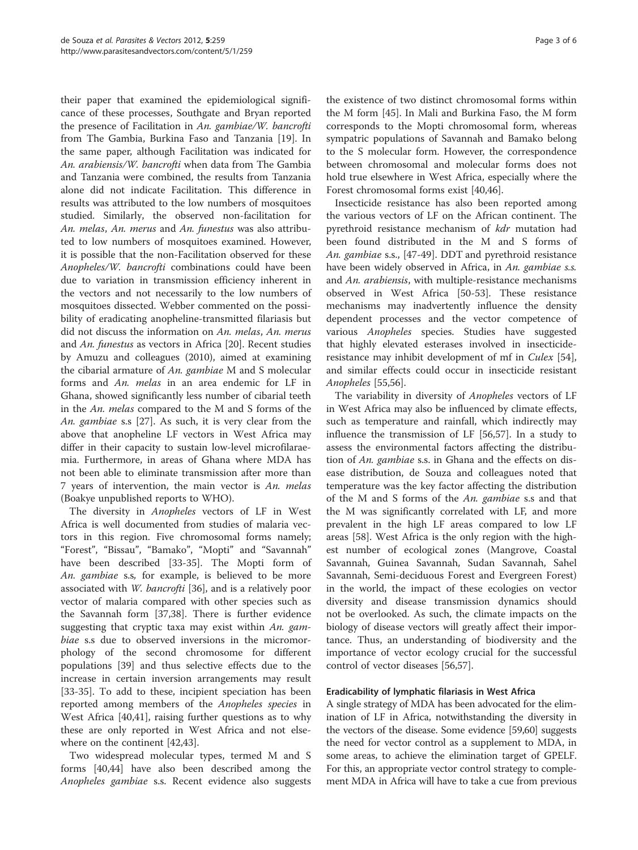their paper that examined the epidemiological significance of these processes, Southgate and Bryan reported the presence of Facilitation in An. gambiae/W. bancrofti from The Gambia, Burkina Faso and Tanzania [\[19](#page-4-0)]. In the same paper, although Facilitation was indicated for An. arabiensis/W. bancrofti when data from The Gambia and Tanzania were combined, the results from Tanzania alone did not indicate Facilitation. This difference in results was attributed to the low numbers of mosquitoes studied. Similarly, the observed non-facilitation for An. melas, An. merus and An. funestus was also attributed to low numbers of mosquitoes examined. However, it is possible that the non-Facilitation observed for these Anopheles/W. bancrofti combinations could have been due to variation in transmission efficiency inherent in the vectors and not necessarily to the low numbers of mosquitoes dissected. Webber commented on the possibility of eradicating anopheline-transmitted filariasis but did not discuss the information on An. melas, An. merus and An. funestus as vectors in Africa [\[20\]](#page-4-0). Recent studies by Amuzu and colleagues (2010), aimed at examining the cibarial armature of An. gambiae M and S molecular forms and An. melas in an area endemic for LF in Ghana, showed significantly less number of cibarial teeth in the An. melas compared to the M and S forms of the An. gambiae s.s [\[27\]](#page-4-0). As such, it is very clear from the above that anopheline LF vectors in West Africa may differ in their capacity to sustain low-level microfilaraemia. Furthermore, in areas of Ghana where MDA has not been able to eliminate transmission after more than 7 years of intervention, the main vector is An. melas (Boakye unpublished reports to WHO).

The diversity in Anopheles vectors of LF in West Africa is well documented from studies of malaria vectors in this region. Five chromosomal forms namely; "Forest", "Bissau", "Bamako", "Mopti" and "Savannah" have been described [[33](#page-4-0)[-35\]](#page-5-0). The Mopti form of An. gambiae s.s, for example, is believed to be more associated with W. bancrofti [[36\]](#page-5-0), and is a relatively poor vector of malaria compared with other species such as the Savannah form [[37,38](#page-5-0)]. There is further evidence suggesting that cryptic taxa may exist within  $An.$  gambiae s.s due to observed inversions in the micromorphology of the second chromosome for different populations [[39\]](#page-5-0) and thus selective effects due to the increase in certain inversion arrangements may result [[33-](#page-4-0)[35](#page-5-0)]. To add to these, incipient speciation has been reported among members of the Anopheles species in West Africa [\[40,41](#page-5-0)], raising further questions as to why these are only reported in West Africa and not elsewhere on the continent [[42,43\]](#page-5-0).

Two widespread molecular types, termed M and S forms [\[40,44](#page-5-0)] have also been described among the Anopheles gambiae s.s. Recent evidence also suggests

the existence of two distinct chromosomal forms within the M form [[45\]](#page-5-0). In Mali and Burkina Faso, the M form corresponds to the Mopti chromosomal form, whereas sympatric populations of Savannah and Bamako belong to the S molecular form. However, the correspondence between chromosomal and molecular forms does not hold true elsewhere in West Africa, especially where the Forest chromosomal forms exist [\[40,46\]](#page-5-0).

Insecticide resistance has also been reported among the various vectors of LF on the African continent. The pyrethroid resistance mechanism of kdr mutation had been found distributed in the M and S forms of An. gambiae s.s., [[47-49\]](#page-5-0). DDT and pyrethroid resistance have been widely observed in Africa, in An. gambiae s.s. and An. arabiensis, with multiple-resistance mechanisms observed in West Africa [[50-53](#page-5-0)]. These resistance mechanisms may inadvertently influence the density dependent processes and the vector competence of various Anopheles species. Studies have suggested that highly elevated esterases involved in insecticideresistance may inhibit development of mf in Culex [\[54](#page-5-0)], and similar effects could occur in insecticide resistant Anopheles [\[55,56\]](#page-5-0).

The variability in diversity of Anopheles vectors of LF in West Africa may also be influenced by climate effects, such as temperature and rainfall, which indirectly may influence the transmission of LF [[56](#page-5-0),[57](#page-5-0)]. In a study to assess the environmental factors affecting the distribution of An. gambiae s.s. in Ghana and the effects on disease distribution, de Souza and colleagues noted that temperature was the key factor affecting the distribution of the M and S forms of the An. gambiae s.s and that the M was significantly correlated with LF, and more prevalent in the high LF areas compared to low LF areas [\[58\]](#page-5-0). West Africa is the only region with the highest number of ecological zones (Mangrove, Coastal Savannah, Guinea Savannah, Sudan Savannah, Sahel Savannah, Semi-deciduous Forest and Evergreen Forest) in the world, the impact of these ecologies on vector diversity and disease transmission dynamics should not be overlooked. As such, the climate impacts on the biology of disease vectors will greatly affect their importance. Thus, an understanding of biodiversity and the importance of vector ecology crucial for the successful control of vector diseases [\[56,57\]](#page-5-0).

# Eradicability of lymphatic filariasis in West Africa

A single strategy of MDA has been advocated for the elimination of LF in Africa, notwithstanding the diversity in the vectors of the disease. Some evidence [\[59,60](#page-5-0)] suggests the need for vector control as a supplement to MDA, in some areas, to achieve the elimination target of GPELF. For this, an appropriate vector control strategy to complement MDA in Africa will have to take a cue from previous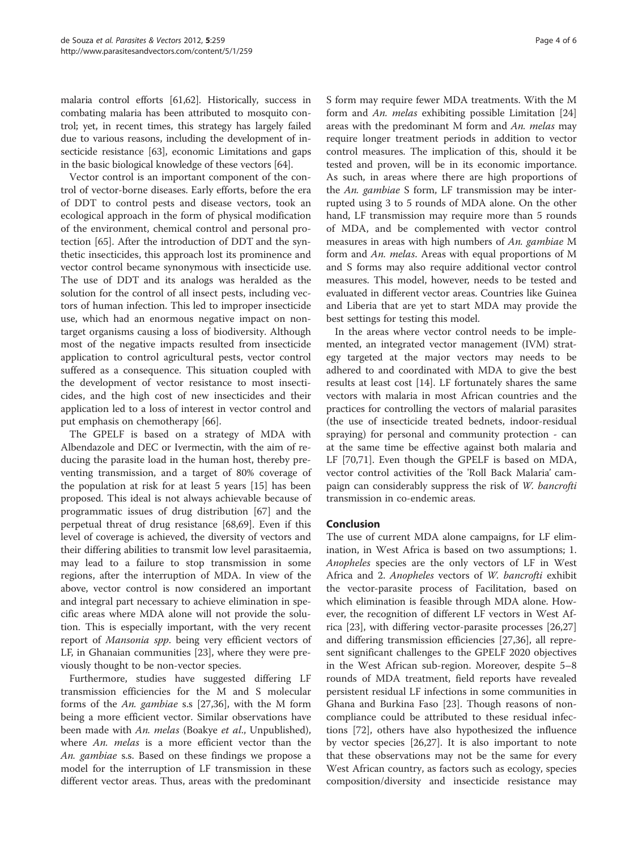malaria control efforts [\[61,62\]](#page-5-0). Historically, success in combating malaria has been attributed to mosquito control; yet, in recent times, this strategy has largely failed due to various reasons, including the development of insecticide resistance [[63](#page-5-0)], economic Limitations and gaps in the basic biological knowledge of these vectors [[64](#page-5-0)].

Vector control is an important component of the control of vector-borne diseases. Early efforts, before the era of DDT to control pests and disease vectors, took an ecological approach in the form of physical modification of the environment, chemical control and personal protection [\[65](#page-5-0)]. After the introduction of DDT and the synthetic insecticides, this approach lost its prominence and vector control became synonymous with insecticide use. The use of DDT and its analogs was heralded as the solution for the control of all insect pests, including vectors of human infection. This led to improper insecticide use, which had an enormous negative impact on nontarget organisms causing a loss of biodiversity. Although most of the negative impacts resulted from insecticide application to control agricultural pests, vector control suffered as a consequence. This situation coupled with the development of vector resistance to most insecticides, and the high cost of new insecticides and their application led to a loss of interest in vector control and put emphasis on chemotherapy [[66](#page-5-0)].

The GPELF is based on a strategy of MDA with Albendazole and DEC or Ivermectin, with the aim of reducing the parasite load in the human host, thereby preventing transmission, and a target of 80% coverage of the population at risk for at least 5 years [[15\]](#page-4-0) has been proposed. This ideal is not always achievable because of programmatic issues of drug distribution [[67\]](#page-5-0) and the perpetual threat of drug resistance [[68](#page-5-0),[69](#page-5-0)]. Even if this level of coverage is achieved, the diversity of vectors and their differing abilities to transmit low level parasitaemia, may lead to a failure to stop transmission in some regions, after the interruption of MDA. In view of the above, vector control is now considered an important and integral part necessary to achieve elimination in specific areas where MDA alone will not provide the solution. This is especially important, with the very recent report of Mansonia spp. being very efficient vectors of LF, in Ghanaian communities [[23](#page-4-0)], where they were previously thought to be non-vector species.

Furthermore, studies have suggested differing LF transmission efficiencies for the M and S molecular forms of the An. gambiae s.s [\[27](#page-4-0)[,36\]](#page-5-0), with the M form being a more efficient vector. Similar observations have been made with An. melas (Boakye et al., Unpublished), where An. melas is a more efficient vector than the An. gambiae s.s. Based on these findings we propose a model for the interruption of LF transmission in these different vector areas. Thus, areas with the predominant S form may require fewer MDA treatments. With the M form and An. melas exhibiting possible Limitation [[24](#page-4-0)] areas with the predominant M form and  $An.$  melas may require longer treatment periods in addition to vector control measures. The implication of this, should it be tested and proven, will be in its economic importance. As such, in areas where there are high proportions of the An. gambiae S form, LF transmission may be interrupted using 3 to 5 rounds of MDA alone. On the other hand, LF transmission may require more than 5 rounds of MDA, and be complemented with vector control measures in areas with high numbers of An. gambiae M form and An. melas. Areas with equal proportions of M and S forms may also require additional vector control measures. This model, however, needs to be tested and evaluated in different vector areas. Countries like Guinea and Liberia that are yet to start MDA may provide the best settings for testing this model.

In the areas where vector control needs to be implemented, an integrated vector management (IVM) strategy targeted at the major vectors may needs to be adhered to and coordinated with MDA to give the best results at least cost [[14](#page-4-0)]. LF fortunately shares the same vectors with malaria in most African countries and the practices for controlling the vectors of malarial parasites (the use of insecticide treated bednets, indoor-residual spraying) for personal and community protection - can at the same time be effective against both malaria and LF [[70](#page-5-0),[71](#page-5-0)]. Even though the GPELF is based on MDA, vector control activities of the 'Roll Back Malaria' campaign can considerably suppress the risk of W. bancrofti transmission in co-endemic areas.

# Conclusion

The use of current MDA alone campaigns, for LF elimination, in West Africa is based on two assumptions; 1. Anopheles species are the only vectors of LF in West Africa and 2. Anopheles vectors of W. bancrofti exhibit the vector-parasite process of Facilitation, based on which elimination is feasible through MDA alone. However, the recognition of different LF vectors in West Africa [\[23](#page-4-0)], with differing vector-parasite processes [[26](#page-4-0),[27](#page-4-0)] and differing transmission efficiencies [\[27](#page-4-0)[,36\]](#page-5-0), all represent significant challenges to the GPELF 2020 objectives in the West African sub-region. Moreover, despite 5–8 rounds of MDA treatment, field reports have revealed persistent residual LF infections in some communities in Ghana and Burkina Faso [[23](#page-4-0)]. Though reasons of noncompliance could be attributed to these residual infections [[72](#page-5-0)], others have also hypothesized the influence by vector species [\[26,27\]](#page-4-0). It is also important to note that these observations may not be the same for every West African country, as factors such as ecology, species composition/diversity and insecticide resistance may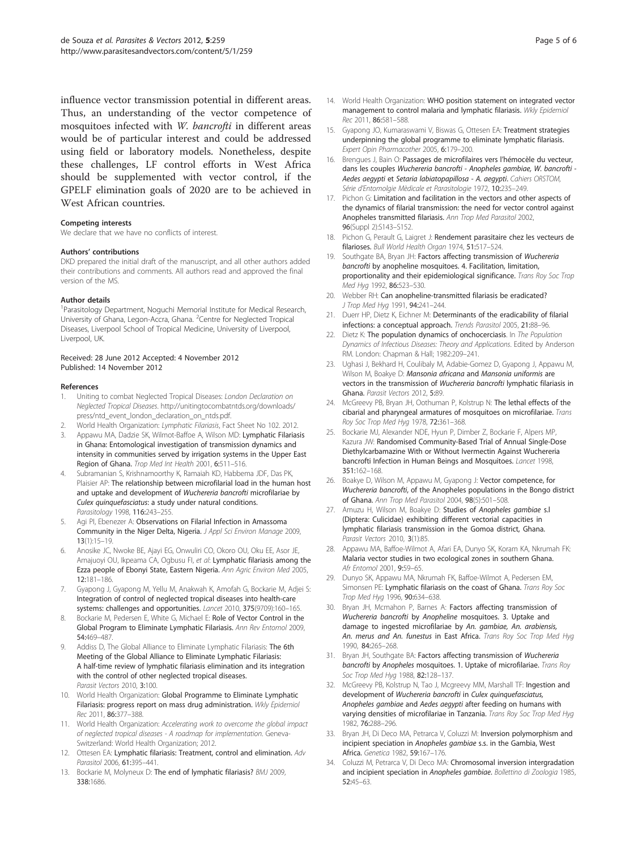<span id="page-4-0"></span>influence vector transmission potential in different areas. Thus, an understanding of the vector competence of mosquitoes infected with W. bancrofti in different areas would be of particular interest and could be addressed using field or laboratory models. Nonetheless, despite these challenges, LF control efforts in West Africa should be supplemented with vector control, if the GPELF elimination goals of 2020 are to be achieved in West African countries.

#### Competing interests

We declare that we have no conflicts of interest.

#### Authors' contributions

DKD prepared the initial draft of the manuscript, and all other authors added their contributions and comments. All authors read and approved the final version of the MS.

#### Author details

<sup>1</sup> Parasitology Department, Noguchi Memorial Institute for Medical Research, University of Ghana, Legon-Accra, Ghana. <sup>2</sup> Centre for Neglected Tropical Diseases, Liverpool School of Tropical Medicine, University of Liverpool, Liverpool, UK.

#### Received: 28 June 2012 Accepted: 4 November 2012 Published: 14 November 2012

#### References

- 1. Uniting to combat Neglected Tropical Diseases: London Declaration on Neglected Tropical Diseases. [http://unitingtocombatntds.org/downloads/](http://unitingtocombatntds.org/downloads/press/ntd_event_london_declaration_on_ntds.pdf) [press/ntd\\_event\\_london\\_declaration\\_on\\_ntds.pdf.](http://unitingtocombatntds.org/downloads/press/ntd_event_london_declaration_on_ntds.pdf)
- 2. World Health Organization: Lymphatic Filariasis, Fact Sheet No 102. 2012.
- Appawu MA, Dadzie SK, Wilmot-Baffoe A, Wilson MD: Lymphatic Filariasis in Ghana: Entomological investigation of transmission dynamics and intensity in communities served by irrigation systems in the Upper East Region of Ghana. Trop Med Int Health 2001, 6:511–516.
- 4. Subramanian S, Krishnamoorthy K, Ramaiah KD, Habbema JDF, Das PK, Plaisier AP: The relationship between microfilarial load in the human host and uptake and development of Wuchereria bancrofti microfilariae by Culex quinquefasciatus: a study under natural conditions. Parasitology 1998, 116:243–255.
- Agi PI, Ebenezer A: Observations on Filarial Infection in Amassoma Community in the Niger Delta, Nigeria. J Appl Sci Environ Manage 2009, 13(1):15–19.
- 6. Anosike JC, Nwoke BE, Ajayi EG, Onwuliri CO, Okoro OU, Oku EE, Asor JE, Amajuoyi OU, Ikpeama CA, Ogbusu FI, et al: Lymphatic filariasis among the Ezza people of Ebonyi State, Eastern Nigeria. Ann Agric Environ Med 2005, 12:181–186.
- 7. Gyapong J, Gyapong M, Yellu M, Anakwah K, Amofah G, Bockarie M, Adjei S: Integration of control of neglected tropical diseases into health-care systems: challenges and opportunities. Lancet 2010, 375(9709):160–165.
- Bockarie M, Pedersen E, White G, Michael E: Role of Vector Control in the Global Program to Eliminate Lymphatic Filariasis. Ann Rev Entomol 2009, 54:469–487.
- 9. Addiss D, The Global Alliance to Eliminate Lymphatic Filariasis: The 6th Meeting of the Global Alliance to Eliminate Lymphatic Filariasis: A half-time review of lymphatic filariasis elimination and its integration with the control of other neglected tropical diseases. Parasit Vectors 2010, 3:100.
- 10. World Health Organization: Global Programme to Eliminate Lymphatic Filariasis: progress report on mass drug administration. Wkly Epidemiol Rec 2011, 86:377–388.
- 11. World Health Organization: Accelerating work to overcome the global impact of neglected tropical diseases - A roadmap for implementation. Geneva-Switzerland: World Health Organization; 2012.
- 12. Ottesen EA: Lymphatic filariasis: Treatment, control and elimination. Adv Parasitol 2006, 61:395–441.
- 13. Bockarie M, Molyneux D: The end of lymphatic filariasis? BMJ 2009, 338:1686.
- 14. World Health Organization: WHO position statement on integrated vector management to control malaria and lymphatic filariasis. Wkly Epidemiol Rec 2011, 86:581–588.
- 15. Gyapong JO, Kumaraswami V, Biswas G, Ottesen EA: Treatment strategies underpinning the global programme to eliminate lymphatic filariasis. Expert Opin Pharmacother 2005, 6:179–200.
- 16. Brengues J, Bain O: Passages de microfilaires vers l'hémocèle du vecteur, dans les couples Wuchereria bancrofti - Anopheles gambiae, W. bancrofti - Aedes aegypti et Setaria labiatopapillosa - A. aegypti. Cahiers ORSTOM, Série d'Entomolgie Mèdicale et Parasitologie 1972, 10:235–249.
- 17. Pichon G: Limitation and facilitation in the vectors and other aspects of the dynamics of filarial transmission: the need for vector control against Anopheles transmitted filariasis. Ann Trop Med Parasitol 2002, 96(Suppl 2):S143–S152.
- 18. Pichon G, Perault G, Laigret J: Rendement parasitaire chez les vecteurs de filarioses. Bull World Health Organ 1974, 51:517–524.
- 19. Southgate BA, Bryan JH: Factors affecting transmission of Wuchereria bancrofti by anopheline mosquitoes. 4. Facilitation, limitation, proportionality and their epidemiological significance. Trans Roy Soc Trop Med Hyg 1992, 86:523–530.
- 20. Webber RH: Can anopheline-transmitted filariasis be eradicated? J Trop Med Hyg 1991, 94:241-244.
- 21. Duerr HP, Dietz K, Fichner M: Determinants of the eradicability of filarial infections: a conceptual approach. Trends Parasitol 2005, 21:88–96.
- 22. Dietz K: The population dynamics of onchocerciasis. In The Population Dynamics of Infectious Diseases: Theory and Applications. Edited by Anderson RM. London: Chapman & Hall; 1982:209–241.
- 23. Ughasi J, Bekhard H, Coulibaly M, Adabie-Gomez D, Gyapong J, Appawu M, Wilson M, Boakye D: Mansonia africana and Mansonia uniformis are vectors in the transmission of Wuchereria bancrofti lymphatic filariasis in Ghana. Parasit Vectors 2012, 5:89.
- 24. McGreevy PB, Bryan JH, Oothuman P, Kolstrup N: The lethal effects of the cibarial and pharyngeal armatures of mosquitoes on microfilariae. Trans Roy Soc Trop Med Hyg 1978, 72:361–368.
- 25. Bockarie MJ, Alexander NDE, Hyun P, Dimber Z, Bockarie F, Alpers MP, Kazura JW: Randomised Community-Based Trial of Annual Single-Dose Diethylcarbamazine With or Without Ivermectin Against Wuchereria bancrofti Infection in Human Beings and Mosquitoes. Lancet 1998, 351:162–168.
- 26. Boakye D, Wilson M, Appawu M, Gyapong J: Vector competence, for Wuchereria bancrofti, of the Anopheles populations in the Bongo district of Ghana. Ann Trop Med Parasitol 2004, 98(5):501–508.
- 27. Amuzu H, Wilson M, Boakye D: Studies of Anopheles gambiae s.l (Diptera: Culicidae) exhibiting different vectorial capacities in lymphatic filariasis transmission in the Gomoa district, Ghana. Parasit Vectors 2010, 3(1):85.
- 28. Appawu MA, Baffoe-Wilmot A, Afari EA, Dunyo SK, Koram KA, Nkrumah FK: Malaria vector studies in two ecological zones in southern Ghana. Afr Entomol 2001, 9:59–65.
- 29. Dunyo SK, Appawu MA, Nkrumah FK, Baffoe-Wilmot A, Pedersen EM, Simonsen PE: Lymphatic filariasis on the coast of Ghana. Trans Roy Soc Trop Med Hyg 1996, 90:634–638.
- 30. Bryan JH, Mcmahon P, Barnes A: Factors affecting transmission of Wuchereria bancrofti by Anopheline mosquitoes. 3. Uptake and damage to ingested microfilariae by An. gambiae, An. arabiensis, An. merus and An. funestus in East Africa. Trans Roy Soc Trop Med Hyg 1990, 84:265–268.
- 31. Bryan JH, Southgate BA: Factors affecting transmission of Wuchereria bancrofti by Anopheles mosquitoes. 1. Uptake of microfilariae. Trans Roy Soc Trop Med Hyg 1988, 82:128–137.
- 32. McGreevy PB, Kolstrup N, Tao J, Mcgreevy MM, Marshall TF: Ingestion and development of Wuchereria bancrofti in Culex quinquefasciatus, Anopheles gambiae and Aedes aegypti after feeding on humans with varying densities of microfilariae in Tanzania. Trans Roy Soc Trop Med Hyg 1982, 76:288–296.
- 33. Bryan JH, Di Deco MA, Petrarca V, Coluzzi M: Inversion polymorphism and incipient speciation in Anopheles gambiae s.s. in the Gambia, West Africa. Genetica 1982, 59:167–176.
- 34. Coluzzi M, Petrarca V, Di Deco MA: Chromosomal inversion intergradation and incipient speciation in Anopheles gambiae. Bollettino di Zoologia 1985, 52:45–63.